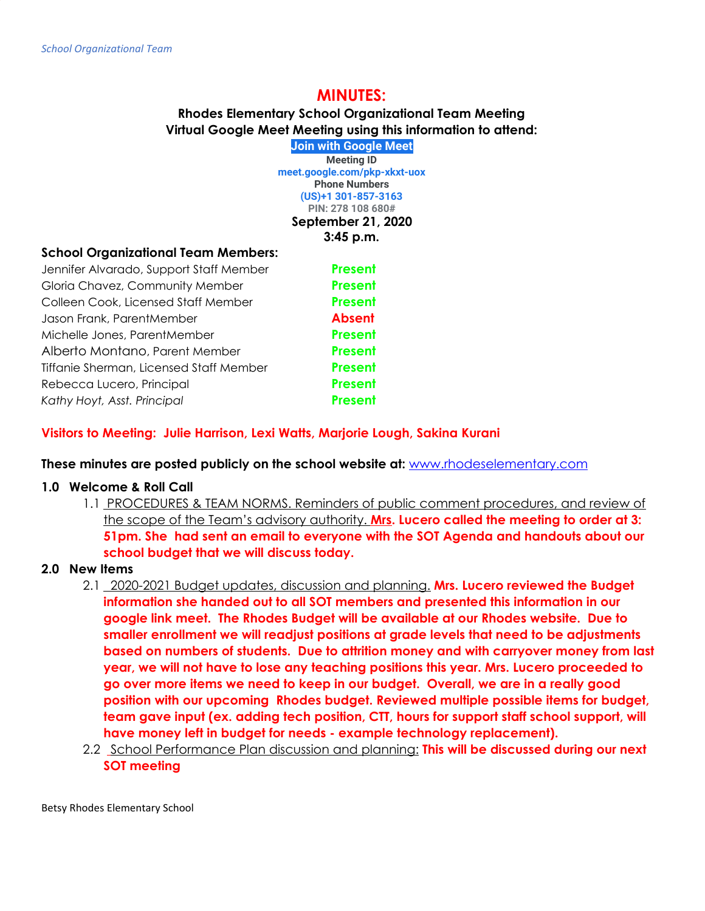# **MINUTES:**

**Rhodes Elementary School Organizational Team Meeting Virtual Google Meet Meeting using this information to attend: [Join with Google Meet](https://meet.google.com/pkp-xkxt-uox?hs=122&authuser=0)**

**Meeting ID [meet.google.com/pkp-xkxt-uox](https://meet.google.com/pkp-xkxt-uox?hs=122&authuser=0) Phone Numbers (US)+1 301-857-3163 PIN: 278 108 680# September 21, 2020 3:45 p.m.**

### **School Organizational Team Members:**

| Jennifer Alvarado, Support Staff Member | <b>Present</b> |
|-----------------------------------------|----------------|
| Gloria Chavez, Community Member         | <b>Present</b> |
| Colleen Cook, Licensed Staff Member     | <b>Present</b> |
| Jason Frank, ParentMember               | <b>Absent</b>  |
| Michelle Jones, ParentMember            | <b>Present</b> |
| Alberto Montano, Parent Member          | <b>Present</b> |
| Tiffanie Sherman, Licensed Staff Member | <b>Present</b> |
| Rebecca Lucero, Principal               | <b>Present</b> |
| Kathy Hoyt, Asst. Principal             | <b>Present</b> |

## **Visitors to Meeting: Julie Harrison, Lexi Watts, Marjorie Lough, Sakina Kurani**

**These minutes are posted publicly on the school website at:** [www.rhodeselementary.com](http://www.rhodeselementary.com/)

### **1.0 Welcome & Roll Call**

1.1 PROCEDURES & TEAM NORMS. Reminders of public comment procedures, and review of the scope of the Team's advisory authority. **Mrs. Lucero called the meeting to order at 3: 51pm. She had sent an email to everyone with the SOT Agenda and handouts about our school budget that we will discuss today.**

## **2.0 New Items**

- 2.1 2020-2021 Budget updates, discussion and planning. **Mrs. Lucero reviewed the Budget information she handed out to all SOT members and presented this information in our google link meet. The Rhodes Budget will be available at our Rhodes website. Due to smaller enrollment we will readjust positions at grade levels that need to be adjustments based on numbers of students. Due to attrition money and with carryover money from last year, we will not have to lose any teaching positions this year. Mrs. Lucero proceeded to go over more items we need to keep in our budget. Overall, we are in a really good position with our upcoming Rhodes budget. Reviewed multiple possible items for budget, team gave input (ex. adding tech position, CTT, hours for support staff school support, will have money left in budget for needs - example technology replacement).**
- 2.2 School Performance Plan discussion and planning: **This will be discussed during our next SOT meeting**

Betsy Rhodes Elementary School